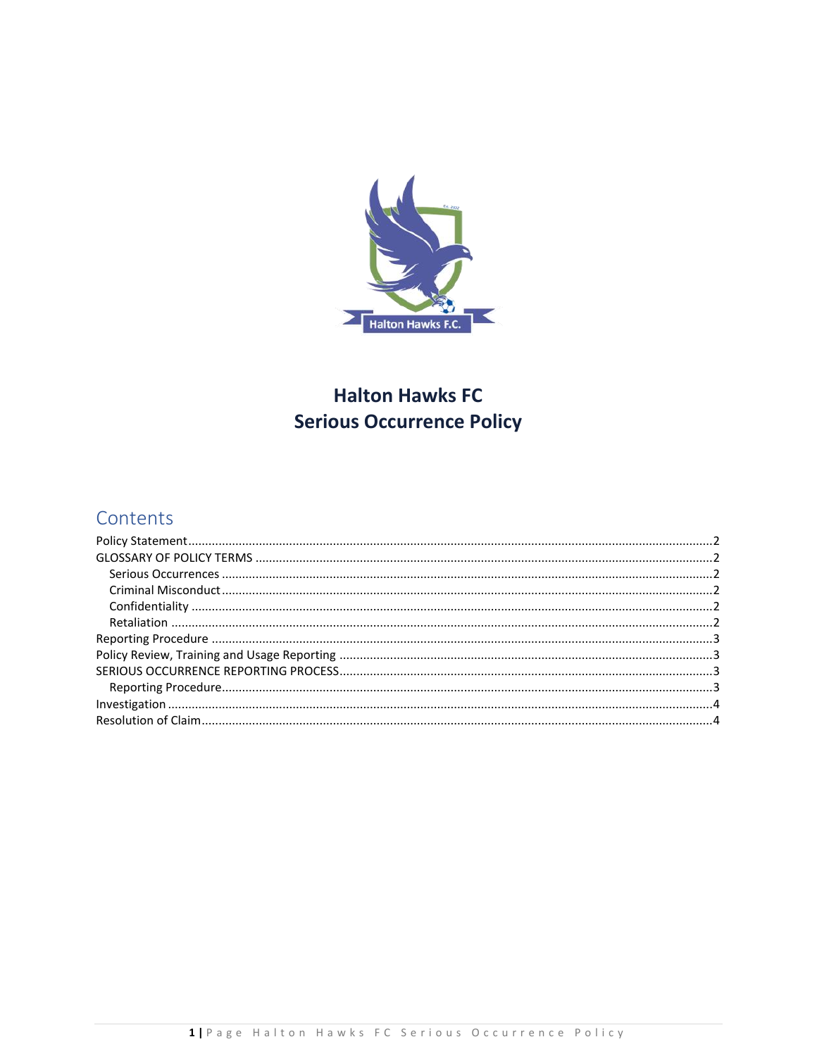

# **Halton Hawks FC Serious Occurrence Policy**

## Contents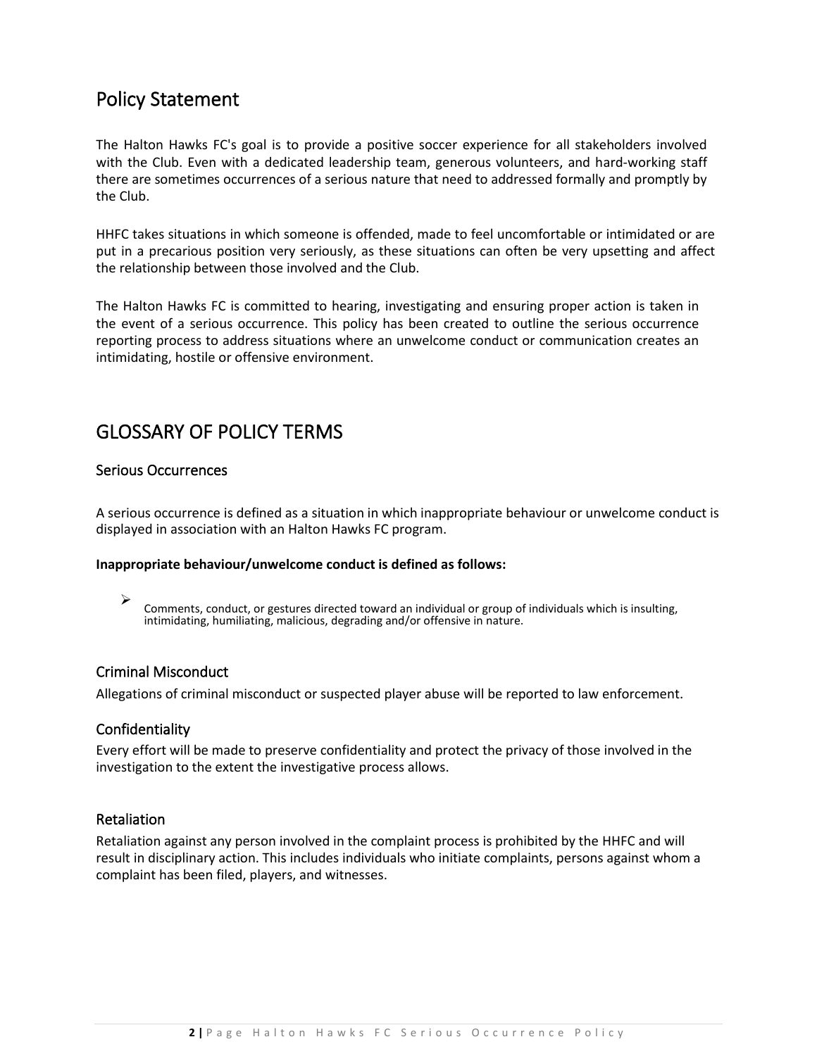### <span id="page-1-0"></span>Policy Statement

The Halton Hawks FC's goal is to provide a positive soccer experience for all stakeholders involved with the Club. Even with a dedicated leadership team, generous volunteers, and hard-working staff there are sometimes occurrences of a serious nature that need to addressed formally and promptly by the Club.

HHFC takes situations in which someone is offended, made to feel uncomfortable or intimidated or are put in a precarious position very seriously, as these situations can often be very upsetting and affect the relationship between those involved and the Club.

The Halton Hawks FC is committed to hearing, investigating and ensuring proper action is taken in the event of a serious occurrence. This policy has been created to outline the serious occurrence reporting process to address situations where an unwelcome conduct or communication creates an intimidating, hostile or offensive environment.

### <span id="page-1-1"></span>GLOSSARY OF POLICY TERMS

#### <span id="page-1-2"></span>Serious Occurrences

A serious occurrence is defined as a situation in which inappropriate behaviour or unwelcome conduct is displayed in association with an Halton Hawks FC program.

#### **Inappropriate behaviour/unwelcome conduct is defined as follows:**

➢ Comments, conduct, or gestures directed toward an individual or group of individuals which is insulting, intimidating, humiliating, malicious, degrading and/or offensive in nature.

#### <span id="page-1-3"></span>Criminal Misconduct

<span id="page-1-4"></span>Allegations of criminal misconduct or suspected player abuse will be reported to law enforcement.

#### Confidentiality

Every effort will be made to preserve confidentiality and protect the privacy of those involved in the investigation to the extent the investigative process allows.

#### <span id="page-1-5"></span>Retaliation

Retaliation against any person involved in the complaint process is prohibited by the HHFC and will result in disciplinary action. This includes individuals who initiate complaints, persons against whom a complaint has been filed, players, and witnesses.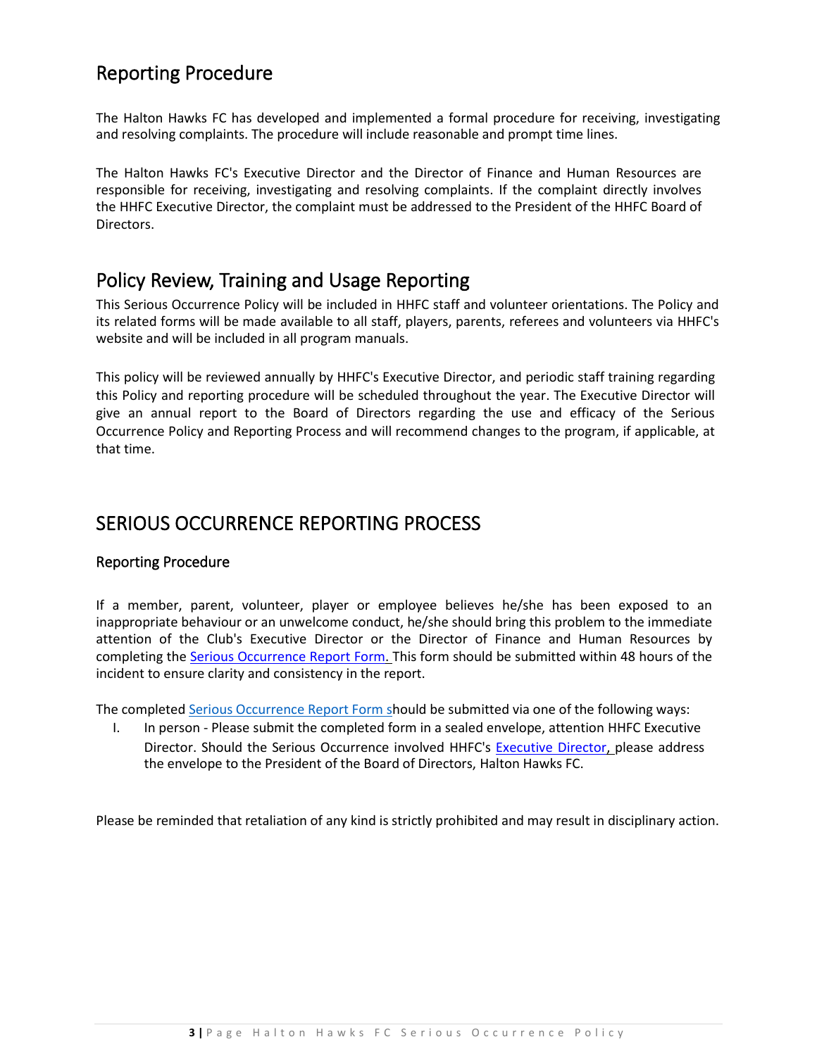## <span id="page-2-0"></span>Reporting Procedure

The Halton Hawks FC has developed and implemented a formal procedure for receiving, investigating and resolving complaints. The procedure will include reasonable and prompt time lines.

The Halton Hawks FC's Executive Director and the Director of Finance and Human Resources are responsible for receiving, investigating and resolving complaints. If the complaint directly involves the HHFC Executive Director, the complaint must be addressed to the President of the HHFC Board of Directors.

### <span id="page-2-1"></span>Policy Review, Training and Usage Reporting

This Serious Occurrence Policy will be included in HHFC staff and volunteer orientations. The Policy and its related forms will be made available to all staff, players, parents, referees and volunteers via HHFC's website and will be included in all program manuals.

This policy will be reviewed annually by HHFC's Executive Director, and periodic staff training regarding this Policy and reporting procedure will be scheduled throughout the year. The Executive Director will give an annual report to the Board of Directors regarding the use and efficacy of the Serious Occurrence Policy and Reporting Process and will recommend changes to the program, if applicable, at that time.

### <span id="page-2-2"></span>SERIOUS OCCURRENCE REPORTING PROCESS

#### <span id="page-2-3"></span>Reporting Procedure

If a member, parent, volunteer, player or employee believes he/she has been exposed to an inappropriate behaviour or an unwelcome conduct, he/she should bring this problem to the immediate attention of the Club's Executive Director or the Director of Finance and Human Resources by completing the [Serious Occurrence Report Form. T](https://5abc0df3-78f6-428c-b1de-6dfc90f0e57a.filesusr.com/ugd/2cc23e_202df4d3cd9044b68be3e7cbe9438252.pdf)his form should be submitted within 48 hours of the incident to ensure clarity and consistency in the report.

The complete[d Serious Occurrence Report Form](https://5abc0df3-78f6-428c-b1de-6dfc90f0e57a.filesusr.com/ugd/2cc23e_202df4d3cd9044b68be3e7cbe9438252.pdf) should be submitted via one of the following ways:

I. In person - Please submit the completed form in a sealed envelope, attention HHFC Executive Director. Should the Serious Occurrence involved HHFC's [Executive Director, p](mailto:info@hhfc-academy.com)lease address the envelope to the President of the Board of Directors, Halton Hawks FC.

Please be reminded that retaliation of any kind is strictly prohibited and may result in disciplinary action.